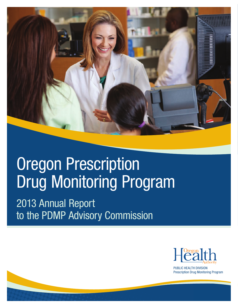

# **Oregon Prescription** Drug Monitoring Program

2013 Annual Report to the PDMP Advisory Commission



S: 7

HEX: D6E9E1

PUBLIC HEALTH DIVISION Prescription Drug Monitoring Program

> $\overline{a}$ R: 236 G: 137 B: 29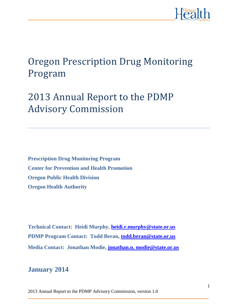

# Oregon Prescription Drug Monitoring Program

# 2013 Annual Report to the PDMP Advisory Commission

**Prescription Drug Monitoring Program Center for Prevention and Health Promotion Oregon Public Health Division Oregon Health Authority**

**Technical Contact: Heidi Murphy, [heidi.r.murphy@state.or.us](mailto:heidi.r.murphy@state.or.us) PDMP Program Contact: Todd Beran, [todd.beran@state.or.us](mailto:todd.beran@state.or.us) Media Contact: Jonathan Modie, [jonathan.n. modie@state.or.us](mailto:jonathan.n.%20modie@state.or.us)**

# **January 2014**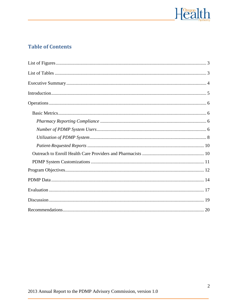

# **Table of Contents**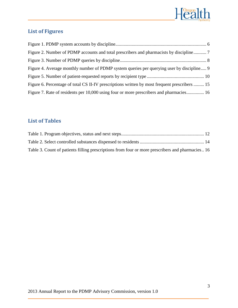

# <span id="page-3-0"></span>**List of Figures**

| Figure 2. Number of PDMP accounts and total prescribers and pharmacists by discipline 7       |  |
|-----------------------------------------------------------------------------------------------|--|
|                                                                                               |  |
| Figure 4. Average monthly number of PDMP system queries per querying user by discipline 9     |  |
|                                                                                               |  |
| Figure 6. Percentage of total CS II-IV prescriptions written by most frequent prescribers  15 |  |
| Figure 7. Rate of residents per 10,000 using four or more prescribers and pharmacies 16       |  |

# <span id="page-3-1"></span>**List of Tables**

| Table 3. Count of patients filling prescriptions from four or more prescribers and pharmacies 16 |  |
|--------------------------------------------------------------------------------------------------|--|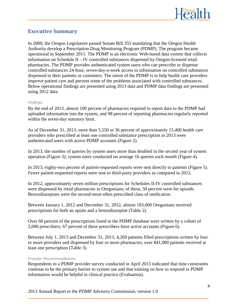

# <span id="page-4-0"></span>**Executive Summary**

In 2009, the Oregon Legislature passed Senate Bill 355 mandating that the Oregon Health Authority develop a Prescription Drug Monitoring Program (PDMP). The program became operational in September 2011. The PDMP is an electronic Web-based data system that collects information on Schedule II – IV controlled substances dispensed by Oregon-licensed retail pharmacies. The PDMP provides authenticated system users who can prescribe or dispense controlled substances 24-hour, seven-day-a-week access to information on controlled substances dispensed to their patients or customers. The intent of the PDMP is to help health care providers improve patient care and prevent some of the problems associated with controlled substances. Below operational findings are presented using 2013 data and PDMP data findings are presented using 2012 data.

#### *Findings*

By the end of 2013, almost 100 percent of pharmacies required to report data to the PDMP had uploaded information into the system, and 98 percent of reporting pharmacies regularly reported within the seven-day statutory limit.

As of December 31, 2013, more than 5,550 or 36 percent of approximately 15,400 health care providers who prescribed at least one controlled substance prescription in 2013 were authenticated users with active PDMP accounts (Figure 2).

In 2013, the number of queries by system users more than doubled in the second year of system operation (Figure 3); system users conducted on average 16 queries each month (Figure 4).

In 2013, eighty-two percent of patient-requested reports were sent directly to patients (Figure 5). Fewer patient-requested reports were sent to third-party providers as compared to 2012.

In 2012, approximately seven million prescriptions for Schedules II-IV controlled substances were dispensed by retail pharmacies to Oregonians; of these, 50 percent were for opioids. Benzodiazepines were the second-most-often prescribed class of medication.

Between January 1, 2012 and December 31, 2012, almost 183,000 Oregonians received prescriptions for both an opiate and a benzodiazepine (Table 2).

Over 60 percent of the prescriptions listed in the PDMP database were written by a cohort of 2,000 prescribers; 67 percent of these prescribers have active accounts (Figure 6).

Between July 1, 2013 and December 31, 2013, 4,269 patients filled prescriptions written by four or more providers and dispensed by four or more pharmacies; over 841,000 patients received at least one prescription (Table 3).

#### *Provider Recommendations*

Respondents to a PDMP provider survey conducted in April 2013 indicated that time constraints continue to be the primary barrier to system use and that training on how to respond to PDMP information would be helpful in clinical practice (Evaluation).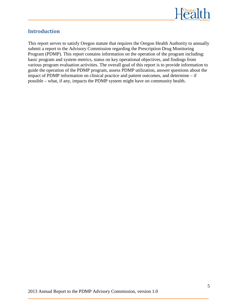

# <span id="page-5-0"></span>**Introduction**

This report serves to satisfy Oregon statute that requires the Oregon Health Authority to annually submit a report to the Advisory Commission regarding the Prescription Drug Monitoring Program (PDMP). This report contains information on the operation of the program including: basic program and system metrics, status on key operational objectives, and findings from various program evaluation activities. The overall goal of this report is to provide information to guide the operation of the PDMP program, assess PDMP utilization, answer questions about the impact of PDMP information on clinical practice and patient outcomes, and determine – if possible – what, if any, impacts the PDMP system might have on community health.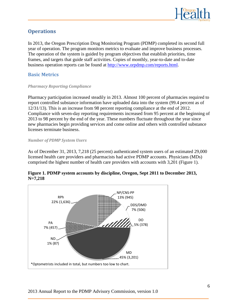

# <span id="page-6-0"></span>**Operations**

In 2013, the Oregon Prescription Drug Monitoring Program (PDMP) completed its second full year of operation. The program monitors metrics to evaluate and improve business processes. The operation of the system is guided by program objectives that establish priorities, time frames, and targets that guide staff activities. Copies of monthly, year-to-date and to-date business operation reports can be found at [http://www.orpdmp.com/reports.html.](http://www.orpdmp.com/reports.html)

#### <span id="page-6-1"></span>**Basic Metrics**

#### <span id="page-6-2"></span>*Pharmacy Reporting Compliance*

Pharmacy participation increased steadily in 2013. Almost 100 percent of pharmacies required to report controlled substance information have uploaded data into the system (99.4 percent as of 12/31/13). This is an increase from 98 percent reporting compliance at the end of 2012. Compliance with seven-day reporting requirements increased from 95 percent at the beginning of 2013 to 98 percent by the end of the year. These numbers fluctuate throughout the year since new pharmacies begin providing services and come online and others with controlled substance licenses terminate business.

#### <span id="page-6-3"></span>*Number of PDMP System Users*

As of December 31, 2013, 7,218 (25 percent) authenticated system users of an estimated 29,000 licensed health care providers and pharmacists had active PDMP accounts. Physicians (MDs) comprised the highest number of health care providers with accounts with 3,201 (Figure 1).



#### <span id="page-6-4"></span>**Figure 1. PDMP system accounts by discipline, Oregon, Sept 2011 to December 2013, N=7,218**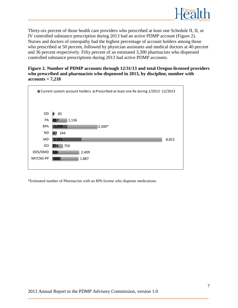

Thirty-six percent of those health care providers who prescribed at least one Schedule II, II, or IV controlled substance prescription during 2013 had an active PDMP account (Figure 2). Nurses and doctors of osteopathy had the highest percentage of account holders among those who prescribed at 50 percent, followed by physician assistants and medical doctors at 40 percent and 36 percent respectively. Fifty percent of an estimated 3,300 pharmacists who dispensed controlled substance prescriptions during 2013 had active PDMP accounts.

#### <span id="page-7-0"></span>**Figure 2. Number of PDMP accounts through 12/31/13 and total Oregon-licensed providers who prescribed and pharmacists who dispensed in 2013, by discipline, number with accounts = 7,218**



\*Estimated number of Pharmacists with an RPh license who dispense medications.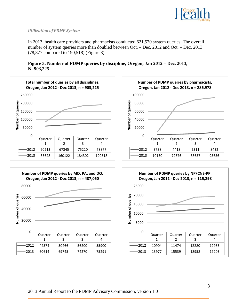

#### <span id="page-8-0"></span>*Utilization of PDMP System*

In 2013, health care providers and pharmacists conducted 621,570 system queries. The overall number of system queries more than doubled between Oct. – Dec. 2012 and Oct. – Dec. 2013 (78,877 compared to 190,518) (Figure 3).

<span id="page-8-1"></span>

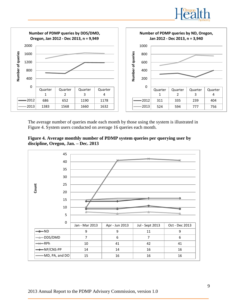



The average number of queries made each month by those using the system is illustrated in Figure 4. System users conducted on average 16 queries each month.

<span id="page-9-0"></span>

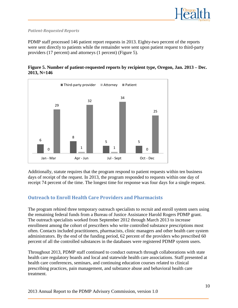

#### <span id="page-10-0"></span>*Patient-Requested Reports*

PDMP staff processed 146 patient report requests in 2013. Eighty-two percent of the reports were sent directly to patients while the remainder were sent upon patient request to third-party providers (17 percent) and attorneys (1 percent) (Figure 5).

<span id="page-10-2"></span>



Additionally, statute requires that the program respond to patient requests within ten business days of receipt of the request. In 2013, the program responded to requests within one day of receipt 74 percent of the time. The longest time for response was four days for a single request.

### <span id="page-10-1"></span>**Outreach to Enroll Health Care Providers and Pharmacists**

The program rehired three temporary outreach specialists to recruit and enroll system users using the remaining federal funds from a Bureau of Justice Assistance Harold Rogers PDMP grant. The outreach specialists worked from September 2012 through March 2013 to increase enrollment among the cohort of prescribers who write controlled substance prescriptions most often. Contacts included practitioners, pharmacists, clinic managers and other health care system administrators. By the end of the funding period, 62 percent of the providers who prescribed 60 percent of all the controlled substances in the databases were registered PDMP system users.

Throughout 2013, PDMP staff continued to conduct outreach through collaborations with state health care regulatory boards and local and statewide health care associations. Staff presented at health care conferences, seminars, and continuing education courses related to clinical prescribing practices, pain management, and substance abuse and behavioral health care treatment.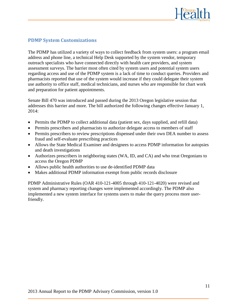

#### <span id="page-11-0"></span>**PDMP System Customizations**

The PDMP has utilized a variety of ways to collect feedback from system users: a program email address and phone line, a technical Help Desk supported by the system vendor, temporary outreach specialists who have connected directly with health care providers, and system assessment surveys. The barrier most often cited by system users and potential system users regarding access and use of the PDMP system is a lack of time to conduct queries. Providers and pharmacists reported that use of the system would increase if they could delegate their system use authority to office staff, medical technicians, and nurses who are responsible for chart work and preparation for patient appointments.

Senate Bill 470 was introduced and passed during the 2013 Oregon legislative session that addresses this barrier and more. The bill authorized the following changes effective January 1, 2014:

- Permits the PDMP to collect additional data (patient sex, days supplied, and refill data)
- Permits prescribers and pharmacists to authorize delegate access to members of staff
- Permits prescribers to review prescriptions dispensed under their own DEA number to assess fraud and self-evaluate prescribing practices
- Allows the State Medical Examiner and designees to access PDMP information for autopsies and death investigations
- Authorizes prescribers in neighboring states (WA, ID, and CA) and who treat Oregonians to access the Oregon PDMP
- Allows public health authorities to use de-identified PDMP data
- Makes additional PDMP information exempt from public records disclosure

PDMP Administrative Rules (OAR 410-121-4005 through 410-121-4020) were revised and system and pharmacy reporting changes were implemented accordingly. The PDMP also implemented a new system interface for systems users to make the query process more userfriendly.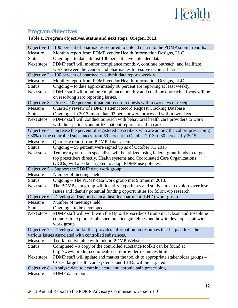

# <span id="page-12-0"></span>**Program Objectives**

|                                                       | Objective $1 - 100$ percent of pharmacies required to upload data into the PDMP submit reports.   |  |  |  |
|-------------------------------------------------------|---------------------------------------------------------------------------------------------------|--|--|--|
| Measure                                               | Monthly report from PDMP vendor Health Information Designs, LLC                                   |  |  |  |
| <b>Status</b>                                         | Ongoing – to date almost 100 percent have uploaded data                                           |  |  |  |
| Next steps                                            | PDMP staff will monitor compliance monthly, continue outreach, and facilitate                     |  |  |  |
|                                                       | work between the vendor and pharmacies to resolve technical issues.                               |  |  |  |
|                                                       | Objective $2 - 100$ percent of pharmacies submit data reports weekly.                             |  |  |  |
| Measure                                               | Monthly report from PDMP vendor Health Information Designs, LLC                                   |  |  |  |
| <b>Status</b>                                         | Ongoing – to date approximately 98 percent are reporting at least weekly                          |  |  |  |
| Next steps                                            | PDMP staff will monitor compliance monthly and continue outreach – focus will be                  |  |  |  |
|                                                       | on resolving zero reporting issues.                                                               |  |  |  |
|                                                       | Objective $3$ – Process 100 percent of patient record requests within two days of receipt.        |  |  |  |
| Measure                                               | Quarterly review of PDMP Patient Record Request Tracking Database                                 |  |  |  |
| <b>Status</b>                                         | Ongoing – In 2013, more than 92 percent were processed within two days.                           |  |  |  |
| Next steps                                            | PDMP staff will conduct outreach with behavioral health care providers to work                    |  |  |  |
|                                                       | with their patients and utilize patient reports to aid in care.                                   |  |  |  |
|                                                       | Objective 4 – Increase the percent of registered prescribers who are among the cohort prescribing |  |  |  |
|                                                       | ~80% of the controlled substances from 59 percent in October 2013 to 80 percent by 2015.          |  |  |  |
| Measure                                               | Quarterly report from PDMP data system                                                            |  |  |  |
| <b>Status</b>                                         | Ongoing $-59$ percent were signed up as of October 31, 2013                                       |  |  |  |
| Next steps                                            | Temporary outreach specialists will be utilized using federal grant funds to target               |  |  |  |
|                                                       | top prescribers directly. Health systems and Coordinated Care Organizations                       |  |  |  |
|                                                       | (CCOs) will also be targeted to adopt PDMP use policies.                                          |  |  |  |
|                                                       | Objective 5 – Support the PDMP data work group.                                                   |  |  |  |
| Measure                                               | Number of meetings held                                                                           |  |  |  |
| <b>Status</b>                                         | Ongoing – The PDMP data work group met 9 times in 2013.                                           |  |  |  |
| Next steps                                            | The PDMP data group will identify hypotheses and study aims to explore overdose                   |  |  |  |
|                                                       | issues and identify potential funding opportunities for follow-up research.                       |  |  |  |
|                                                       | Objective 6 – Develop and support a local health department (LHD) work group.                     |  |  |  |
| Measure                                               | Number of meetings held                                                                           |  |  |  |
| <b>Status</b>                                         | Ongoing – to be developed                                                                         |  |  |  |
| Next steps                                            | PDMP staff will work with the Opioid Prescribers Group in Jackson and Josephine                   |  |  |  |
|                                                       | counties to explore established practice guidelines and how to develop a statewide                |  |  |  |
|                                                       | work group.                                                                                       |  |  |  |
|                                                       | Objective 7 – Develop a toolkit that provides information on resources that help address the      |  |  |  |
| various issues associated with controlled substances. |                                                                                                   |  |  |  |
| Measure                                               | Toolkit deliverable with link on PDMP Website                                                     |  |  |  |
| <b>Status</b>                                         | Completed – a copy of the controlled substance toolkit can be found at                            |  |  |  |
|                                                       | http://www.orpdmp.com/health-care-provider-resources.html                                         |  |  |  |
| Next steps                                            | PDMP staff will update and market the toolkit to appropriate stakeholder groups -                 |  |  |  |
|                                                       | CCOs, large health care systems, and LHDs will be targeted.                                       |  |  |  |
|                                                       | Objective 8 – Analyze data to examine acute and chronic pain prescribing.                         |  |  |  |
| Measure                                               | PDMP data report                                                                                  |  |  |  |

<span id="page-12-1"></span>**Table 1. Program objectives, status and next steps, Oregon, 2013.**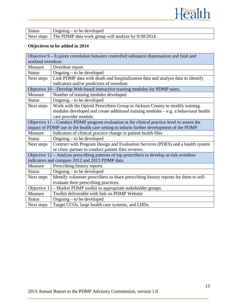

| <b>Status</b> | $Ongoing - to be developed$                                      |
|---------------|------------------------------------------------------------------|
|               | Next steps   The PDMP data work group will analyze by 9/30/2014. |

# **Objectives to be added in 2014**

| Objective 9 – Explore correlation between controlled substance dispensation and fatal and     |                                                                                            |  |  |  |  |
|-----------------------------------------------------------------------------------------------|--------------------------------------------------------------------------------------------|--|--|--|--|
| nonfatal overdose.                                                                            |                                                                                            |  |  |  |  |
| Measure                                                                                       | Overdose report                                                                            |  |  |  |  |
| <b>Status</b>                                                                                 | Ongoing – to be developed                                                                  |  |  |  |  |
| Next steps                                                                                    | Link PDMP data with death and hospitalization data and analyze data to identify            |  |  |  |  |
|                                                                                               | indicators and/or predictors of overdose.                                                  |  |  |  |  |
|                                                                                               | Objective 10 – Develop Web-based interactive training modules for PDMP users.              |  |  |  |  |
| Measure                                                                                       | Number of training modules developed                                                       |  |  |  |  |
| <b>Status</b>                                                                                 | Ongoing – to be developed                                                                  |  |  |  |  |
| Next steps                                                                                    | Work with the Opioid Prescribers Group in Jackson County to modify training                |  |  |  |  |
|                                                                                               | modules developed and create additional training modules – e.g. a behavioral health        |  |  |  |  |
|                                                                                               | care provider module.                                                                      |  |  |  |  |
| Objective $11$ – Conduct PDMP program evaluation at the clinical practice level to assess the |                                                                                            |  |  |  |  |
| impact of PDMP use in the health care setting to inform further development of the PDMP.      |                                                                                            |  |  |  |  |
| Measure                                                                                       | Indicators of clinical practice change in patient health files                             |  |  |  |  |
| <b>Status</b>                                                                                 | Ongoing – to be developed                                                                  |  |  |  |  |
| Next steps                                                                                    | Contract with Program Design and Evaluation Services (PDES) and a health system            |  |  |  |  |
|                                                                                               | or clinic partner to conduct patient files reviews.                                        |  |  |  |  |
|                                                                                               | Objective 12 – Analyze prescribing patterns of top prescribers to develop at-risk overdose |  |  |  |  |
|                                                                                               | indicators and compare 2012 and 2013 PDMP data.                                            |  |  |  |  |
| Measure                                                                                       | Prescribing history reports                                                                |  |  |  |  |
| <b>Status</b>                                                                                 | Ongoing – to be developed                                                                  |  |  |  |  |
| Next steps                                                                                    | Identify volunteer prescribers to share prescribing history reports for them to self-      |  |  |  |  |
|                                                                                               | evaluate their prescribing practices.                                                      |  |  |  |  |
|                                                                                               | Objective 13 - Market PDMP toolkit to appropriate stakeholder groups.                      |  |  |  |  |
| Measure                                                                                       | Toolkit deliverable with link on PDMP Website                                              |  |  |  |  |
| <b>Status</b>                                                                                 | Ongoing $-$ to be developed                                                                |  |  |  |  |
| Next steps                                                                                    | Target CCOs, large health care systems, and LHDs.                                          |  |  |  |  |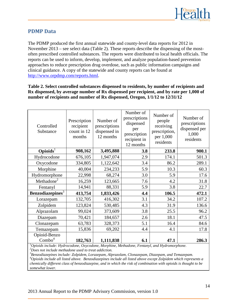

#### <span id="page-14-0"></span>**PDMP Data**

The PDMP produced the first annual statewide and county-level data reports for 2012 in November 2013 – see select data (Table 2). These reports describe the dispensing of the mostoften prescribed controlled substances. The reports were distributed to local health officials. The reports can be used to inform, develop, implement, and analyze population-based prevention approaches to reduce prescription drug overdose, such as public information campaigns and clinical guidance. A copy of the statewide and county reports can be found at [http://www.orpdmp.com/reports.html.](http://www.orpdmp.com/reports.html)

#### <span id="page-14-1"></span>**Table 2. Select controlled substances dispensed to residents, by number of recipients and Rx dispensed, by average number of Rx dispensed per recipient, and by rate per 1,000 of number of recipients and number of Rx dispensed, Oregon, 1/1/12 to 12/31/12**

| Controlled<br>Substance      | Prescription<br>recipient<br>count in 12<br>months | Number of<br>prescriptions<br>dispensed in<br>12 months | Number of<br>prescriptions<br>dispensed<br>per<br>prescription<br>recipient in<br>12 months | Number of<br>people<br>receiving<br>prescription,<br>per 1,000<br>residents | Number of<br>prescriptions<br>dispensed per<br>1,000<br>residents |
|------------------------------|----------------------------------------------------|---------------------------------------------------------|---------------------------------------------------------------------------------------------|-----------------------------------------------------------------------------|-------------------------------------------------------------------|
| Opioids <sup>1</sup>         | 908,162                                            | 3,495,888                                               | 3.8                                                                                         | 233.8                                                                       | 900.1                                                             |
| Hydrocodone                  | 676,105                                            | 1,947,074                                               | 2.9                                                                                         | 174.1                                                                       | 501.3                                                             |
| Oxycodone                    | 334,805                                            | 1,122,642                                               | 3.4                                                                                         | 86.2                                                                        | 289.1                                                             |
| Morphine                     | 40,004                                             | 234,233                                                 | 5.9                                                                                         | 10.3                                                                        | 60.3                                                              |
| Hydromorphone                | 22,998                                             | 68,274                                                  | 3.0                                                                                         | 5.9                                                                         | 17.6                                                              |
| Methadone <sup>2</sup>       | 16,259                                             | 123,665                                                 | 7.6                                                                                         | 4.2                                                                         | 31.8                                                              |
| Fentanyl                     | 14,941                                             | 88,331                                                  | 5.9                                                                                         | 3.8                                                                         | 22.7                                                              |
| Benzodiazepines <sup>3</sup> | 413,754                                            | 1,833,426                                               | 4.4                                                                                         | 106.5                                                                       | 472.1                                                             |
| Lorazepam                    | 132,705                                            | 416,302                                                 | 3.1                                                                                         | 34.2                                                                        | 107.2                                                             |
| Zolpidem                     | 123,824                                            | 530,485                                                 | 4.3                                                                                         | 31.9                                                                        | 136.6                                                             |
| Alprazolam                   | 99,024                                             | 373,609                                                 | 3.8                                                                                         | 25.5                                                                        | 96.2                                                              |
| Diazepam                     | 70,421                                             | 184,657                                                 | 2.6                                                                                         | 18.1                                                                        | 47.5                                                              |
| Clonazepam                   | 63,783                                             | 328,373                                                 | 5.1                                                                                         | 16.4                                                                        | 84.6                                                              |
| Temazepam                    | 15,836                                             | 69,202                                                  | 4.4                                                                                         | 4.1                                                                         | 17.8                                                              |
| Opioid-Benzo                 |                                                    |                                                         |                                                                                             |                                                                             |                                                                   |
| Combo <sup>4</sup>           | 182,763                                            | 1,111,838                                               | 6.1                                                                                         | 47.1                                                                        | 286.3                                                             |

*1 Opioids include: Hydrocodone, Oxycodone, Morphine, Methadone, Fentanyl, and Hydromorphone. <sup>2</sup> Does not include methadone used to treat addiction.*

*3 Benzodiazepines include: Zolpidem, Lorazepam, Alprazolam, Clonazepam, Diazepam, and Temazepam. <sup>4</sup> Opioids include all listed above. Benzodiazepines include all listed above except Zolpidem which represents a chemically different class of benzodiazepine, and in which the risk of combination with opioids is thought to be somewhat lower.*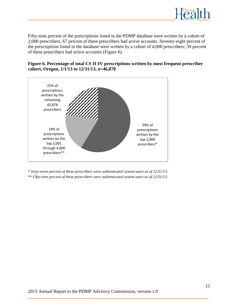

Fifty-nine percent of the prescriptions listed in the PDMP database were written by a cohort of 2,000 prescribers; 67 percent of these prescribers had active accounts. Seventy-eight percent of the prescriptions listed in the database were written by a cohort of 4,000 prescribers; 59 percent of these prescribers had active accounts (Figure 6).

#### <span id="page-15-0"></span>**Figure 6. Percentage of total CS II-IV prescriptions written by most frequent prescriber cohort, Oregon, 1/1/13 to 12/31/13, n=46,878**



\* *Sixty-seven percent of these prescribers were authenticated system users as of 12/31/13*. \*\* *Fifty-nine percent of these prescribers were authenticated system users as of 12/31/13.*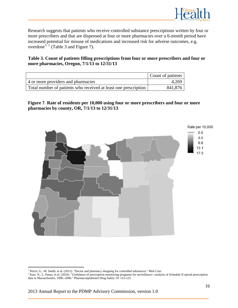

Research suggests that patients who receive controlled substance prescriptions written by four or more prescribers and that are dispensed at four or more pharmacies over a 6-month period have increased potential for misuse of medications and increased risk for adverse outcomes, e.g. overdose<sup>[1,](#page-16-2) [2](#page-16-3)</sup> (Table 3 and Figure 7).

#### <span id="page-16-1"></span>**Table 3. Count of patients filling prescriptions from four or more prescribers and four or more pharmacies, Oregon, 7/1/13 to 12/31/13**

|                                                                 | Count of patients |
|-----------------------------------------------------------------|-------------------|
| 4 or more providers and pharmacies                              | 4,269             |
| Total number of patients who received at least one prescription | 841,876           |

<span id="page-16-0"></span>**Figure 7. Rate of residents per 10,000 using four or more prescribers and four or more pharmacies by county, OR, 7/1/13 to 12/31/13**



l

<sup>1</sup> Peirce, G., M. Smith, et al. (2012). "Doctor and pharmacy shopping for controlled substances." Med Care.

<span id="page-16-3"></span><span id="page-16-2"></span><sup>&</sup>lt;sup>2</sup> Katz, N., L. Panas, et al. (2010). "Usefulness of prescription monitoring programs for surveillance---analysis of Schedule II opioid prescription data in Massachusetts, 1996--2006." Pharmacoepidemiol Drug Safety 19: 115-123.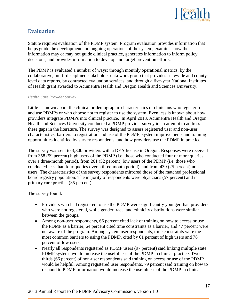

# <span id="page-17-0"></span>**Evaluation**

Statute requires evaluation of the PDMP system. Program evaluation provides information that helps guide the development and ongoing operations of the system, examines how the information may or may not guide clinical practice, generates information to inform policy decisions, and provides information to develop and target prevention efforts.

The PDMP is evaluated a number of ways: through monthly operational metrics, by the collaborative, multi-disciplined stakeholder data work group that provides statewide and countylevel data reports, by contracted evaluation services, and through a five-year National Institutes of Health grant awarded to Acumentra Health and Oregon Health and Sciences University.

#### *Health Care Provider Survey*

Little is known about the clinical or demographic characteristics of clinicians who register for and use PDMPs or who choose not to register to use the system. Even less is known about how providers integrate PDMPs into clinical practice. In April 2013, Acumentra Health and Oregon Health and Sciences University conducted a PDMP provider survey in an attempt to address these gaps in the literature. The survey was designed to assess registered user and non-user characteristics, barriers to registration and use of the PDMP, system improvements and training opportunities identified by survey respondents, and how providers use the PDMP in practice.

The survey was sent to 3,300 providers with a DEA license in Oregon. Responses were received from 358 (59 percent) high users of the PDMP (i.e. those who conducted four or more queries over a three-month period), from 261 (52 percent) low users of the PDMP (i.e. those who conducted less than four queries over a three-month period), and from 439 (25 percent) nonusers. The characteristics of the survey respondents mirrored those of the matched professional board registry population. The majority of respondents were physicians (57 percent) and in primary care practice (35 percent).

The survey found:

- Providers who had registered to use the PDMP were significantly younger than providers who were not registered, while gender, race, and ethnicity distributions were similar between the groups.
- Among non-user respondents, 66 percent cited lack of training on how to access or use the PDMP as a barrier, 64 percent cited time constraints as a barrier, and 47 percent were not aware of the program. Among system user respondents, time constraints were the most common barriers to using the PDMP, cited by 61 percent of high users and 78 percent of low users.
- Nearly all respondents registered as PDMP users (97 percent) said linking multiple state PDMP systems would increase the usefulness of the PDMP in clinical practice. Twothirds (66 percent) of non-user respondents said training on access or use of the PDMP would be helpful. Among registered user respondents, 79 percent said training on how to respond to PDMP information would increase the usefulness of the PDMP in clinical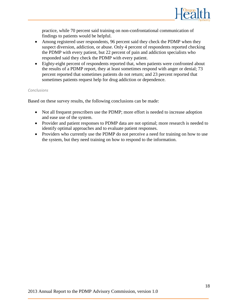

practice, while 70 percent said training on non-confrontational communication of findings to patients would be helpful.

- Among registered user respondents, 96 percent said they check the PDMP when they suspect diversion, addiction, or abuse. Only 4 percent of respondents reported checking the PDMP with every patient, but 22 percent of pain and addiction specialists who responded said they check the PDMP with every patient.
- Eighty-eight percent of respondents reported that, when patients were confronted about the results of a PDMP report, they at least sometimes respond with anger or denial; 73 percent reported that sometimes patients do not return; and 23 percent reported that sometimes patients request help for drug addiction or dependence.

#### *Conclusions*

Based on these survey results, the following conclusions can be made:

- Not all frequent prescribers use the PDMP; more effort is needed to increase adoption and ease use of the system.
- Provider and patient responses to PDMP data are not optimal; more research is needed to identify optimal approaches and to evaluate patient responses.
- Providers who currently use the PDMP do not perceive a need for training on how to use the system, but they need training on how to respond to the information.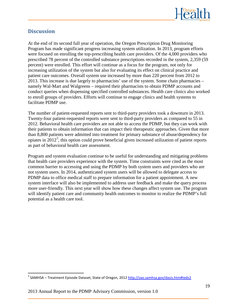

### <span id="page-19-0"></span>**Discussion**

At the end of its second full year of operation, the Oregon Prescription Drug Monitoring Program has made significant progress increasing system utilization. In 2013, program efforts were focused on enrolling the top-prescribing health care providers. Of the 4,000 providers who prescribed 78 percent of the controlled substance prescriptions recorded in the system, 2,359 (59 percent) were enrolled. This effort will continue as a focus for the program, not only for increasing utilization of the system but also for evaluating its effect on clinical practice and patient care outcomes. Overall system use increased by more than 220 percent from 2012 to 2013. This increase is due largely to pharmacists' use of the system. Some chain pharmacies – namely Wal-Mart and Walgreens – required their pharmacists to obtain PDMP accounts and conduct queries when dispensing specified controlled substances. Health care clinics also worked to enroll groups of providers. Efforts will continue to engage clinics and health systems to facilitate PDMP use.

The number of patient-requested reports sent to third-party providers took a downturn in 2013. Twenty-four patient-requested reports were sent to third-party providers as compared to 55 in 2012. Behavioral health care providers are not able to access the PDMP, but they can work with their patients to obtain information that can impact their therapeutic approaches. Given that more than 8,800 patients were admitted into treatment for primary substance of abuse/dependency for opiates in  $2012<sup>3</sup>$  $2012<sup>3</sup>$  $2012<sup>3</sup>$ , this option could prove beneficial given increased utilization of patient reports as part of behavioral health care assessment.

Program and system evaluation continue to be useful for understanding and mitigating problems that health care providers experience with the system. Time constraints were cited as the most common barrier to accessing and using the PDMP by both system users and providers who are not system users. In 2014, authenticated system users will be allowed to delegate access to PDMP data to office medical staff to prepare information for a patient appointment. A new system interface will also be implemented to address user feedback and make the query process more user-friendly. This next year will show how these changes affect system use. The program will identify patient care and community health outcomes to monitor to realize the PDMP's full potential as a health care tool.

<span id="page-19-1"></span><sup>&</sup>lt;sup>3</sup> SAMHSA – Treatment Episode Dataset, State of Oregon, 201[2 http://oas.samhsa.gov/dasis.htm#teds2](http://oas.samhsa.gov/dasis.htm#teds2)